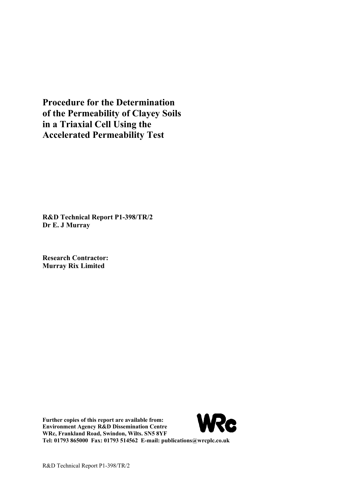**Procedure for the Determination of the Permeability of Clayey Soils in a Triaxial Cell Using the Accelerated Permeability Test**

**R&D Technical Report P1-398/TR/2 Dr E. J Murray**

**Research Contractor: Murray Rix Limited**

**Further copies of this report are available from: Environment Agency R&D Dissemination Centre WRc, Frankland Road, Swindon, Wilts. SN5 8YF Tel: 01793 865000 Fax: 01793 514562 E-mail: publications@wrcplc.co.uk**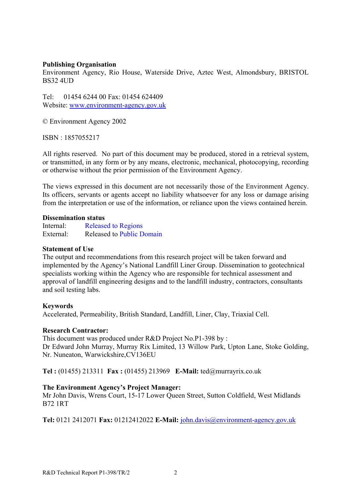#### **Publishing Organisation**

Environment Agency, Rio House, Waterside Drive, Aztec West, Almondsbury, BRISTOL BS32 4UD

Tel: 01454 6244 00 Fax: 01454 624409 Website: www.environment-agency.gov.uk

© Environment Agency 2002

ISBN : 1857055217

All rights reserved. No part of this document may be produced, stored in a retrieval system, or transmitted, in any form or by any means, electronic, mechanical, photocopying, recording or otherwise without the prior permission of the Environment Agency.

The views expressed in this document are not necessarily those of the Environment Agency. Its officers, servants or agents accept no liability whatsoever for any loss or damage arising from the interpretation or use of the information, or reliance upon the views contained herein.

#### **Dissemination status**

Internal: Released to Regions External: Released to Public Domain

#### **Statement of Use**

The output and recommendations from this research project will be taken forward and implemented by the Agency's National Landfill Liner Group. Dissemination to geotechnical specialists working within the Agency who are responsible for technical assessment and approval of landfill engineering designs and to the landfill industry, contractors, consultants and soil testing labs.

#### **Keywords**

Accelerated, Permeability, British Standard, Landfill, Liner, Clay, Triaxial Cell.

#### **Research Contractor:**

This document was produced under R&D Project No.P1-398 by : Dr Edward John Murray, Murray Rix Limited, 13 Willow Park, Upton Lane, Stoke Golding, Nr. Nuneaton, Warwickshire,CV136EU

**Tel :** (01455) 213311 **Fax :** (01455) 213969 **E-Mail:** ted@murrayrix.co.uk

#### **The Environment Agency's Project Manager:**

Mr John Davis, Wrens Court, 15-17 Lower Queen Street, Sutton Coldfield, West Midlands B72 1RT

**Tel:** 0121 2412071 **Fax:** 01212412022 **E-Mail:** john.davis@environment-agency.gov.uk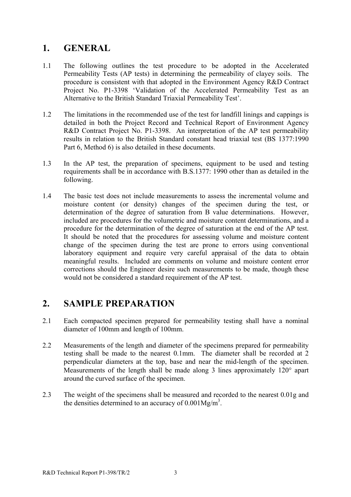## **1. GENERAL**

- 1.1 The following outlines the test procedure to be adopted in the Accelerated Permeability Tests (AP tests) in determining the permeability of clayey soils. The procedure is consistent with that adopted in the Environment Agency R&D Contract Project No. P1-3398 'Validation of the Accelerated Permeability Test as an Alternative to the British Standard Triaxial Permeability Test'.
- 1.2 The limitations in the recommended use of the test for landfill linings and cappings is detailed in both the Project Record and Technical Report of Environment Agency R&D Contract Project No. P1-3398. An interpretation of the AP test permeability results in relation to the British Standard constant head triaxial test (BS 1377:1990 Part 6, Method 6) is also detailed in these documents.
- 1.3 In the AP test, the preparation of specimens, equipment to be used and testing requirements shall be in accordance with B.S.1377: 1990 other than as detailed in the following.
- 1.4 The basic test does not include measurements to assess the incremental volume and moisture content (or density) changes of the specimen during the test, or determination of the degree of saturation from B value determinations. However, included are procedures for the volumetric and moisture content determinations, and a procedure for the determination of the degree of saturation at the end of the AP test. It should be noted that the procedures for assessing volume and moisture content change of the specimen during the test are prone to errors using conventional laboratory equipment and require very careful appraisal of the data to obtain meaningful results. Included are comments on volume and moisture content error corrections should the Engineer desire such measurements to be made, though these would not be considered a standard requirement of the AP test.

## **2. SAMPLE PREPARATION**

- 2.1 Each compacted specimen prepared for permeability testing shall have a nominal diameter of 100mm and length of 100mm.
- 2.2 Measurements of the length and diameter of the specimens prepared for permeability testing shall be made to the nearest 0.1mm. The diameter shall be recorded at 2 perpendicular diameters at the top, base and near the mid-length of the specimen. Measurements of the length shall be made along 3 lines approximately 120° apart around the curved surface of the specimen.
- 2.3 The weight of the specimens shall be measured and recorded to the nearest 0.01g and the densities determined to an accuracy of  $0.001Mg/m<sup>3</sup>$ .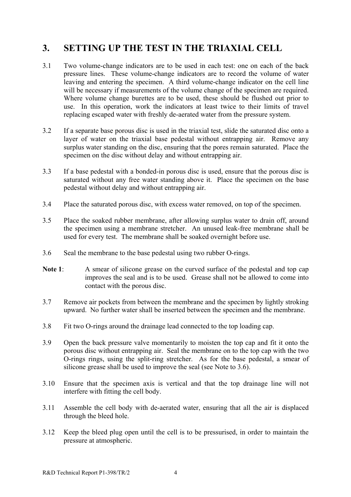# **3. SETTING UP THE TEST IN THE TRIAXIAL CELL**

- 3.1 Two volume-change indicators are to be used in each test: one on each of the back pressure lines. These volume-change indicators are to record the volume of water leaving and entering the specimen. A third volume-change indicator on the cell line will be necessary if measurements of the volume change of the specimen are required. Where volume change burettes are to be used, these should be flushed out prior to use. In this operation, work the indicators at least twice to their limits of travel replacing escaped water with freshly de-aerated water from the pressure system.
- 3.2 If a separate base porous disc is used in the triaxial test, slide the saturated disc onto a layer of water on the triaxial base pedestal without entrapping air. Remove any surplus water standing on the disc, ensuring that the pores remain saturated. Place the specimen on the disc without delay and without entrapping air.
- 3.3 If a base pedestal with a bonded-in porous disc is used, ensure that the porous disc is saturated without any free water standing above it. Place the specimen on the base pedestal without delay and without entrapping air.
- 3.4 Place the saturated porous disc, with excess water removed, on top of the specimen.
- 3.5 Place the soaked rubber membrane, after allowing surplus water to drain off, around the specimen using a membrane stretcher. An unused leak-free membrane shall be used for every test. The membrane shall be soaked overnight before use.
- 3.6 Seal the membrane to the base pedestal using two rubber O-rings.
- Note 1: A smear of silicone grease on the curved surface of the pedestal and top cap improves the seal and is to be used. Grease shall not be allowed to come into contact with the porous disc.
- 3.7 Remove air pockets from between the membrane and the specimen by lightly stroking upward. No further water shall be inserted between the specimen and the membrane.
- 3.8 Fit two O-rings around the drainage lead connected to the top loading cap.
- 3.9 Open the back pressure valve momentarily to moisten the top cap and fit it onto the porous disc without entrapping air. Seal the membrane on to the top cap with the two O-rings rings, using the split-ring stretcher. As for the base pedestal, a smear of silicone grease shall be used to improve the seal (see Note to 3.6).
- 3.10 Ensure that the specimen axis is vertical and that the top drainage line will not interfere with fitting the cell body.
- 3.11 Assemble the cell body with de-aerated water, ensuring that all the air is displaced through the bleed hole.
- 3.12 Keep the bleed plug open until the cell is to be pressurised, in order to maintain the pressure at atmospheric.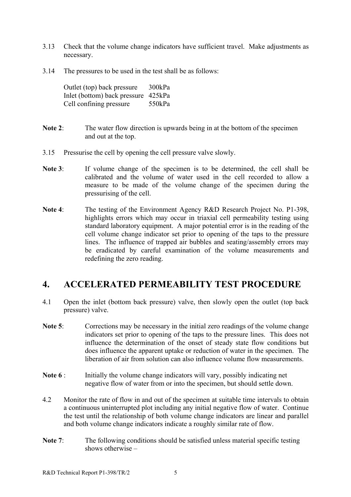- 3.13 Check that the volume change indicators have sufficient travel. Make adjustments as necessary.
- 3.14 The pressures to be used in the test shall be as follows:

Outlet (top) back pressure 300kPa Inlet (bottom) back pressure 425kPa Cell confining pressure 550kPa

- **Note 2**: The water flow direction is upwards being in at the bottom of the specimen and out at the top.
- 3.15 Pressurise the cell by opening the cell pressure valve slowly.
- Note 3: If volume change of the specimen is to be determined, the cell shall be calibrated and the volume of water used in the cell recorded to allow a measure to be made of the volume change of the specimen during the pressurising of the cell.
- **Note 4**: The testing of the Environment Agency R&D Research Project No. P1-398, highlights errors which may occur in triaxial cell permeability testing using standard laboratory equipment. A major potential error is in the reading of the cell volume change indicator set prior to opening of the taps to the pressure lines. The influence of trapped air bubbles and seating/assembly errors may be eradicated by careful examination of the volume measurements and redefining the zero reading.

## **4. ACCELERATED PERMEABILITY TEST PROCEDURE**

- 4.1 Open the inlet (bottom back pressure) valve, then slowly open the outlet (top back pressure) valve.
- Note 5: Corrections may be necessary in the initial zero readings of the volume change indicators set prior to opening of the taps to the pressure lines. This does not influence the determination of the onset of steady state flow conditions but does influence the apparent uptake or reduction of water in the specimen. The liberation of air from solution can also influence volume flow measurements.
- **Note 6** : Initially the volume change indicators will vary, possibly indicating net negative flow of water from or into the specimen, but should settle down.
- 4.2 Monitor the rate of flow in and out of the specimen at suitable time intervals to obtain a continuous uninterrupted plot including any initial negative flow of water. Continue the test until the relationship of both volume change indicators are linear and parallel and both volume change indicators indicate a roughly similar rate of flow.
- Note 7: The following conditions should be satisfied unless material specific testing shows otherwise –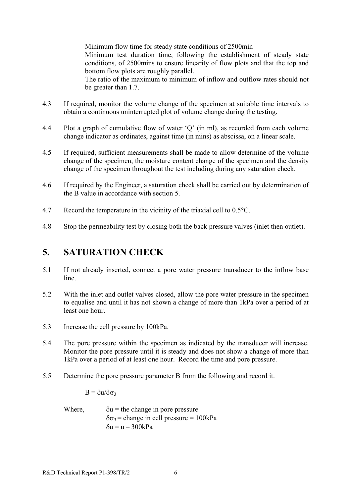Minimum flow time for steady state conditions of 2500min

Minimum test duration time, following the establishment of steady state conditions, of 2500mins to ensure linearity of flow plots and that the top and bottom flow plots are roughly parallel.

The ratio of the maximum to minimum of inflow and outflow rates should not be greater than 1.7.

- 4.3 If required, monitor the volume change of the specimen at suitable time intervals to obtain a continuous uninterrupted plot of volume change during the testing.
- 4.4 Plot a graph of cumulative flow of water 'Q' (in ml), as recorded from each volume change indicator as ordinates, against time (in mins) as abscissa, on a linear scale.
- 4.5 If required, sufficient measurements shall be made to allow determine of the volume change of the specimen, the moisture content change of the specimen and the density change of the specimen throughout the test including during any saturation check.
- 4.6 If required by the Engineer, a saturation check shall be carried out by determination of the B value in accordance with section 5.
- 4.7 Record the temperature in the vicinity of the triaxial cell to 0.5°C.
- 4.8 Stop the permeability test by closing both the back pressure valves (inlet then outlet).

## **5. SATURATION CHECK**

- 5.1 If not already inserted, connect a pore water pressure transducer to the inflow base line.
- 5.2 With the inlet and outlet valves closed, allow the pore water pressure in the specimen to equalise and until it has not shown a change of more than 1kPa over a period of at least one hour.
- 5.3 Increase the cell pressure by 100kPa.
- 5.4 The pore pressure within the specimen as indicated by the transducer will increase. Monitor the pore pressure until it is steady and does not show a change of more than 1kPa over a period of at least one hour. Record the time and pore pressure.
- 5.5 Determine the pore pressure parameter B from the following and record it.

 $B = δu/δσ3$ 

Where,  $\delta u =$  the change in pore pressure  $\delta\sigma_3$  = change in cell pressure = 100kPa  $\delta u = u - 300kPa$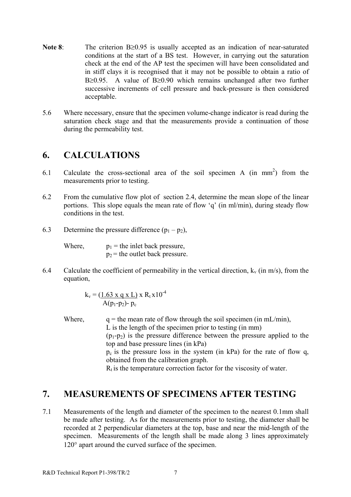- **Note 8**: The criterion B≥0.95 is usually accepted as an indication of near-saturated conditions at the start of a BS test. However, in carrying out the saturation check at the end of the AP test the specimen will have been consolidated and in stiff clays it is recognised that it may not be possible to obtain a ratio of B≥0.95. A value of B≥0.90 which remains unchanged after two further successive increments of cell pressure and back-pressure is then considered acceptable.
- 5.6 Where necessary, ensure that the specimen volume-change indicator is read during the saturation check stage and that the measurements provide a continuation of those during the permeability test.

#### **6. CALCULATIONS**

- 6.1 Calculate the cross-sectional area of the soil specimen A (in mm<sup>2</sup>) from the measurements prior to testing.
- 6.2 From the cumulative flow plot of section 2.4, determine the mean slope of the linear portions. This slope equals the mean rate of flow 'q' (in ml/min), during steady flow conditions in the test.
- 6.3 Determine the pressure difference  $(p_1 p_2)$ ,

Where,  $p_1$  = the inlet back pressure,  $p_2$  = the outlet back pressure.

6.4 Calculate the coefficient of permeability in the vertical direction,  $k_y$  (in m/s), from the equation,

$$
k_v = \frac{(1.63 \times q \times L)}{A(p_1 - p_2) - p_c} \times R_t \times 10^{-4}
$$

Where,  $q =$  the mean rate of flow through the soil specimen (in mL/min), L is the length of the specimen prior to testing (in mm)  $(p_1-p_2)$  is the pressure difference between the pressure applied to the top and base pressure lines (in kPa)  $p_c$  is the pressure loss in the system (in kPa) for the rate of flow q, obtained from the calibration graph.  $R_t$  is the temperature correction factor for the viscosity of water.

## **7. MEASUREMENTS OF SPECIMENS AFTER TESTING**

7.1 Measurements of the length and diameter of the specimen to the nearest 0.1mm shall be made after testing. As for the measurements prior to testing, the diameter shall be recorded at 2 perpendicular diameters at the top, base and near the mid-length of the specimen. Measurements of the length shall be made along 3 lines approximately 120° apart around the curved surface of the specimen.